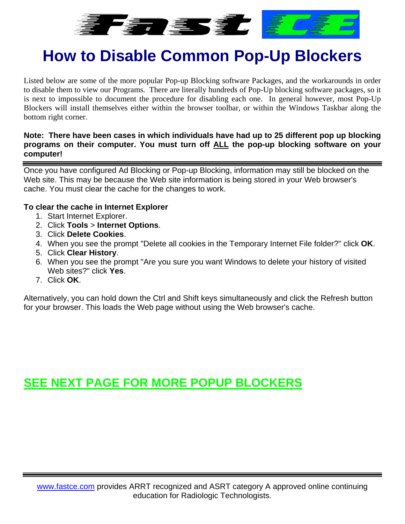

# **How to Disable Common Pop-Up Blockers**

Listed below are some of the more popular Pop-up Blocking software Packages, and the workarounds in order to disable them to view our Programs. There are literally hundreds of Pop-Up blocking software packages, so it is next to impossible to document the procedure for disabling each one. In general however, most Pop-Up Blockers will install themselves either within the browser toolbar, or within the Windows Taskbar along the bottom right corner.

#### **Note: There have been cases in which individuals have had up to 25 different pop up blocking programs on their computer. You must turn off ALL the pop-up blocking software on your computer!**

Once you have configured Ad Blocking or Pop-up Blocking, information may still be blocked on the Web site. This may be because the Web site information is being stored in your Web browser's cache. You must clear the cache for the changes to work.

#### **To clear the cache in Internet Explorer**

- 1. Start Internet Explorer.
- 2. Click **Tools** > **Internet Options**.
- 3. Click **Delete Cookies**.
- 4. When you see the prompt "Delete all cookies in the Temporary Internet File folder?" click **OK**.
- 5. Click **Clear History**.
- 6. When you see the prompt "Are you sure you want Windows to delete your history of visited Web sites?" click **Yes**.
- 7. Click **OK**.

Alternatively, you can hold down the Ctrl and Shift keys simultaneously and click the Refresh button for your browser. This loads the Web page without using the Web browser's cache.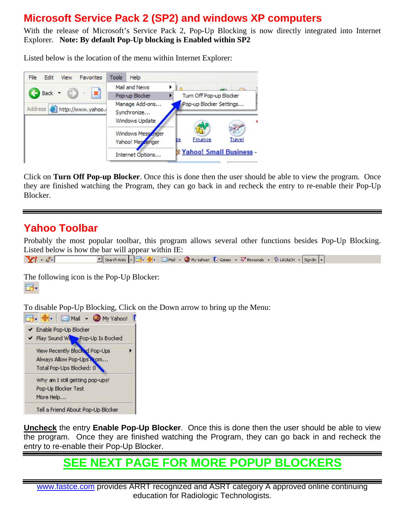### **Microsoft Service Pack 2 (SP2) and windows XP computers**

With the release of Microsoft's Service Pack 2, Pop-Up Blocking is now directly integrated into Internet Explorer. **Note: By default Pop-Up blocking is Enabled within SP2**

Listed below is the location of the menu within Internet Explorer:



Click on **Turn Off Pop-up Blocker**. Once this is done then the user should be able to view the program. Once they are finished watching the Program, they can go back in and recheck the entry to re-enable their Pop-Up Blocker.

### **Yahoo Toolbar**

Probably the most popular toolbar, this program allows several other functions besides Pop-Up Blocking. Listed below is how the bar will appear within IE:

```
Search Web \boxed{\cdot} 3 + \boxed{\oplus} + \boxed{\otimes} Mail + \boxed{\otimes} My Yahoo! \boxed{\bullet} Games + \sqrt{\mathcal{W}} Personals + \boxed{\mathcal{W}} LAUNCH + \boxed{\mathsf{SignIn}} +
Y^{\prime} \ell
```
The following icon is the Pop-Up Blocker: **同** 

To disable Pop-Up Blocking, Click on the Down arrow to bring up the Menu:



**Uncheck** the entry **Enable Pop-Up Blocker**. Once this is done then the user should be able to view the program. Once they are finished watching the Program, they can go back in and recheck the entry to re-enable their Pop-Up Blocker.

### **SEE NEXT PAGE FOR MORE POPUP BLOCKERS**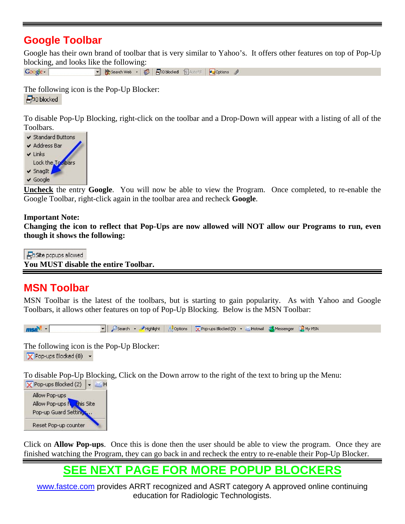### **Google Toolbar**

Google has their own brand of toolbar that is very similar to Yahoo's. It offers other features on top of Pop-Up blocking, and looks like the following:

 $Google -$ • 第Search Web • 第 日0 blocked 日 AutoFill 20ptions

The following icon is the Pop-Up Blocker: **中**0 blocked

To disable Pop-Up Blocking, right-click on the toolbar and a Drop-Down will appear with a listing of all of the Toolbars.



**Uncheck** the entry **Google**. You will now be able to view the Program. Once completed, to re-enable the Google Toolbar, right-click again in the toolbar area and recheck **Google**.

#### **Important Note:**

**Changing the icon to reflect that Pop-Ups are now allowed will NOT allow our Programs to run, even though it shows the following:**

Posite popups allowed

**You MUST disable the entire Toolbar.**

### **MSN Toolbar**

MSN Toolbar is the latest of the toolbars, but is starting to gain popularity. As with Yahoo and Google Toolbars, it allows other features on top of Pop-Up Blocking. Below is the MSN Toolbar:



The following icon is the Pop-Up Blocker:  $\blacktriangleright$  Pop-ups Blocked (0)  $\blacktriangleright$ 

To disable Pop-Up Blocking, Click on the Down arrow to the right of the text to bring up the Menu:



Click on **Allow Pop-ups**. Once this is done then the user should be able to view the program. Once they are finished watching the Program, they can go back in and recheck the entry to re-enable their Pop-Up Blocker.

### **SEE NEXT PAGE FOR MORE POPUP BLOCKERS**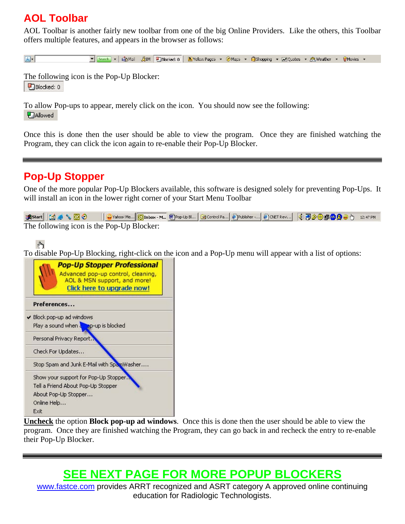### **AOL Toolbar**

AOL Toolbar is another fairly new toolbar from one of the big Online Providers. Like the others, this Toolbar offers multiple features, and appears in the browser as follows:

 $\boxed{\triangle}$ ▼ [Search] > | LigMail BiM | DiBlocked: 0 | KilYellow Pages > @Maps > @Shopping > | DiSlopping > 20| Quotes > 23| Weather > 0 | Movies >

The following icon is the Pop-Up Blocker:  $P$ Blocked: 0

To allow Pop-ups to appear, merely click on the icon. You should now see the following: **P** Allowed

Once this is done then the user should be able to view the program. Once they are finished watching the Program, they can click the icon again to re-enable their Pop-Up Blocker.

### **Pop-Up Stopper**

One of the more popular Pop-Up Blockers available, this software is designed solely for preventing Pop-Ups. It will install an icon in the lower right corner of your Start Menu Toolbar

JAStart || [4] ● L | G | C || G | Yahoo! Me... || C | Inbox - M... || @ | Cop-Up Bl... || @ Control Pa... || @ | Publisher -... || @ | ONET Revi...|| | ① @ | @ | @ | @ | @ | 9 | 12:47 PM The following icon is the Pop-Up Blocker:

 $\psi$ 

To disable Pop-Up Blocking, right-click on the icon and a Pop-Up menu will appear with a list of options:



**Uncheck** the option **Block pop-up ad windows**. Once this is done then the user should be able to view the program. Once they are finished watching the Program, they can go back in and recheck the entry to re-enable their Pop-Up Blocker.

## **SEE NEXT PAGE FOR MORE POPUP BLOCKERS**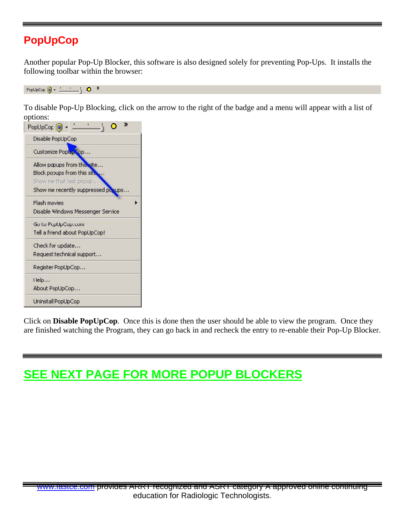### **PopUpCop**

Another popular Pop-Up Blocker, this software is also designed solely for preventing Pop-Ups. It installs the following toolbar within the browser:

PopUpCop  $\bigcirc$  -  $\qquad \qquad$  0  $\qquad$ 

To disable Pop-Up Blocking, click on the arrow to the right of the badge and a menu will appear with a list of options:

| PopUpCor <sup>(9)</sup>            | ≫ |
|------------------------------------|---|
| Disable PopUpCop                   |   |
| Customize PopLp Cop                |   |
| Allow popups from this site        |   |
| Block pooups from this site        |   |
| Show me that last popup            |   |
| Show me recently suppressed popups |   |
| Flash movies                       |   |
| Disable Windows Messenger Service  |   |
| Go to PcpUpCop.com                 |   |
| Tell a friend about PopUpCop!      |   |
| Check for update                   |   |
| Request technical support          |   |
| Register PopUpCop                  |   |
| Help                               |   |
| About PopUpCop                     |   |
| Uninstall PopUpCop                 |   |

Click on **Disable PopUpCop**. Once this is done then the user should be able to view the program. Once they are finished watching the Program, they can go back in and recheck the entry to re-enable their Pop-Up Blocker.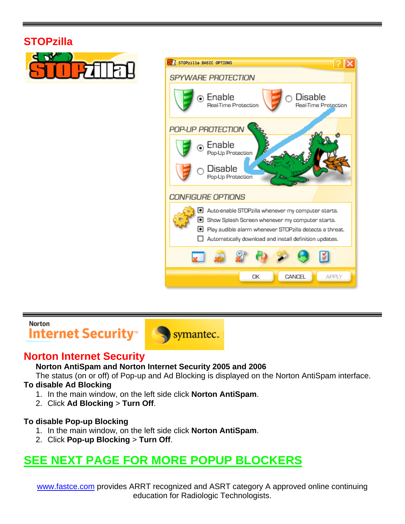### **STOPzilla**





#### Norton

Internet Security<sup>®</sup>



### **Norton Internet Security**

**Norton AntiSpam and Norton Internet Security 2005 and 2006**

The status (on or off) of Pop-up and Ad Blocking is displayed on the Norton AntiSpam interface.

#### **To disable Ad Blocking**

- 1. In the main window, on the left side click **Norton AntiSpam**.
- 2. Click **Ad Blocking** > **Turn Off**.

#### **To disable Pop-up Blocking**

- 1. In the main window, on the left side click **Norton AntiSpam**.
- 2. Click **Pop-up Blocking** > **Turn Off**.

### **SEE NEXT PAGE FOR MORE POPUP BLOCKERS**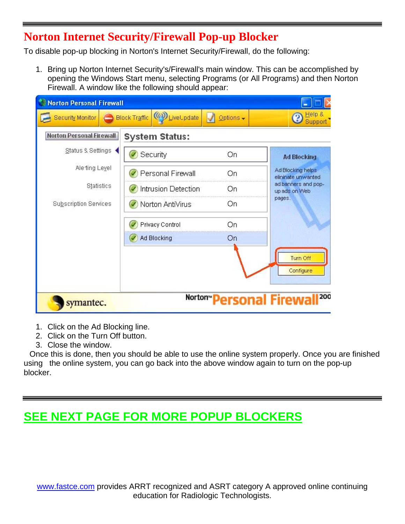### **Norton Internet Security/Firewall Pop-up Blocker**

To disable pop-up blocking in Norton's Internet Security/Firewall, do the following:

1. Bring up Norton Internet Security's/Firewall's main window. This can be accomplished by opening the Windows Start menu, selecting Programs (or All Programs) and then Norton Firewall. A window like the following should appear:

| Norton Personal Firewall        |                                        |                               |                                         |
|---------------------------------|----------------------------------------|-------------------------------|-----------------------------------------|
| Security Monitor                | (@) LiveLpdate<br><b>Block Traffic</b> | $Qptions \rightarrow$         | Help &                                  |
| <b>Norton Personal Firewall</b> | <b>System Status:</b>                  |                               |                                         |
| Status & Settings               | Security                               | On                            | <b>Ad Blocking</b>                      |
| Ale ting Level                  | Personal Firewall                      | On                            | Ad Blocking helps<br>elininate unwanted |
| Statistics                      | Intrusion Detection                    | On                            | ad banners and pop-<br>up ads on Web    |
| Subscription Services           | Norton AntiVirus                       | On                            | pages.                                  |
|                                 | Privacy Control                        | On                            |                                         |
|                                 | Ad Blocking                            | On                            |                                         |
|                                 |                                        |                               | Turn Off                                |
|                                 |                                        |                               | Configure                               |
| symantec.                       |                                        | Norton <b>Personal Firewa</b> | 200                                     |

- 1. Click on the Ad Blocking line.
- 2. Click on the Turn Off button.
- 3. Close the window.

 Once this is done, then you should be able to use the online system properly. Once you are finished using the online system, you can go back into the above window again to turn on the pop-up blocker.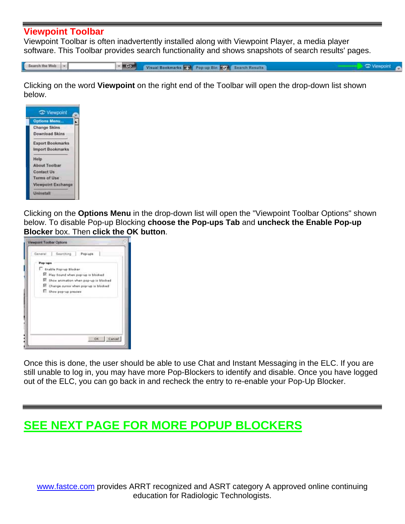#### **Viewpoint Toolbar**

Viewpoint Toolbar is often inadvertently installed along with Viewpoint Player, a media player software. This Toolbar provides search functionality and shows snapshots of search results' pages.

Search the Web -

 $-$ Visual Bookmarks The Pop-up Bin Of Search Results Viewpoint

Clicking on the word **Viewpoint** on the right end of the Toolbar will open the drop-down list shown below.

|                  | Options Menu            |
|------------------|-------------------------|
|                  | <b>Change Skins</b>     |
|                  | <b>Download Skins</b>   |
|                  | <b>Export Bookmarks</b> |
|                  | Import Bookmarks        |
| Help             |                         |
|                  | About Toolbar           |
|                  | <b>Contact Us</b>       |
|                  | <b>Terms of Use</b>     |
|                  | Viewpoint Exchange      |
| <b>Uninstall</b> |                         |

Clicking on the **Options Menu** in the drop-down list will open the "Viewpoint Toolbar Options" shown below. To disable Pop-up Blocking **choose the Pop-ups Tab** and **uncheck the Enable Pop-up Blocker** box. Then **click the OK button**.



Once this is done, the user should be able to use Chat and Instant Messaging in the ELC. If you are still unable to log in, you may have more Pop-Blockers to identify and disable. Once you have logged out of the ELC, you can go back in and recheck the entry to re-enable your Pop-Up Blocker.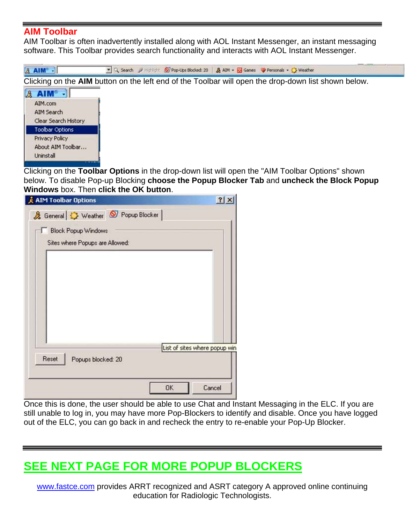### **AIM Toolbar**

AIM Toolbar is often inadvertently installed along with AOL Instant Messenger, an instant messaging software. This Toolbar provides search functionality and interacts with AOL Instant Messenger.



Clicking on the **Toolbar Options** in the drop-down list will open the "AIM Toolbar Options" shown below. To disable Pop-up Blocking **choose the Popup Blocker Tab** and **uncheck the Block Popup Windows** box. Then **click the OK button**.



Once this is done, the user should be able to use Chat and Instant Messaging in the ELC. If you are still unable to log in, you may have more Pop-Blockers to identify and disable. Once you have logged out of the ELC, you can go back in and recheck the entry to re-enable your Pop-Up Blocker.

### **SEE NEXT PAGE FOR MORE POPUP BLOCKERS**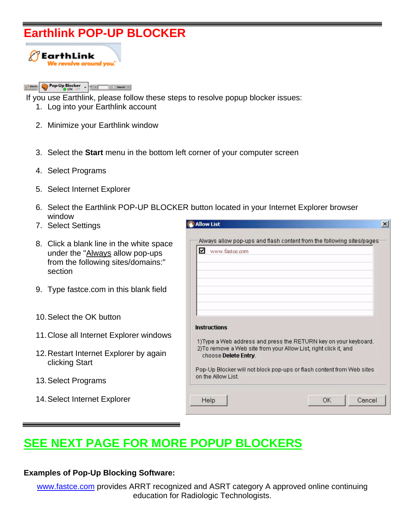### **Earthlink POP-UP BLOCKER**



#### Pop-Up Blocker - $2$  keep **Call Search - 1**

If you use Earthlink, please follow these steps to resolve popup blocker issues:

- 1. Log into your Earthlink account
- 2. Minimize your Earthlink window
- 3. Select the **Start** menu in the bottom left corner of your computer screen
- 4. Select Programs
- 5. Select Internet Explorer
- 6. Select the Earthlink POP-UP BLOCKER button located in your Internet Explorer browser window
- 7. Select Settings
- 8. Click a blank line in the white space under the "Always allow pop-ups from the following sites/domains:" section
- 9. Type fastce.com in this blank field
- 10. Select the OK button
- 11. Close all Internet Explorer windows
- 12. Restart Internet Explorer by again clicking Start
- 13. Select Programs
- 14. Select Internet Explorer

| ☑<br>www.fastce.com  |                                                                       |  |
|----------------------|-----------------------------------------------------------------------|--|
|                      |                                                                       |  |
|                      |                                                                       |  |
| <b>Instructions</b>  |                                                                       |  |
|                      | 1) Type a Web address and press the RETURN key on your keyboard.      |  |
| choose Delete Entry. | 2) To remove a Web site from your Allow List, right click it, and     |  |
| on the Allow List    | Pop-Up Blocker will not block pop-ups or flash content from Web sites |  |

### **SEE NEXT PAGE FOR MORE POPUP BLOCKERS**

#### **Examples of Pop-Up Blocking Software:**